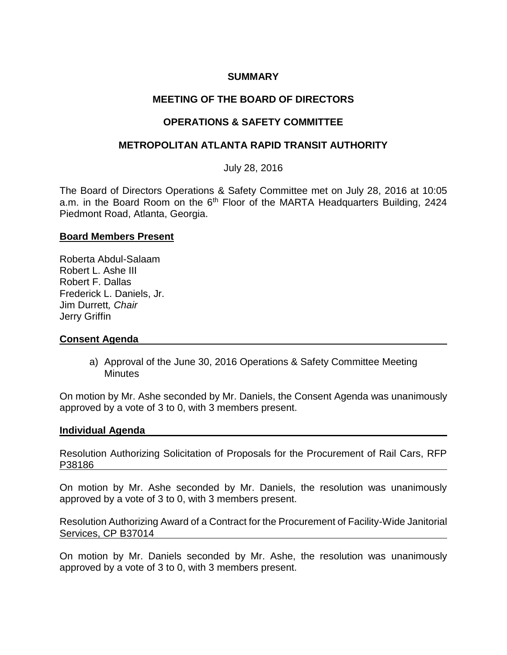## **SUMMARY**

# **MEETING OF THE BOARD OF DIRECTORS**

# **OPERATIONS & SAFETY COMMITTEE**

## **METROPOLITAN ATLANTA RAPID TRANSIT AUTHORITY**

July 28, 2016

The Board of Directors Operations & Safety Committee met on July 28, 2016 at 10:05 a.m. in the Board Room on the 6<sup>th</sup> Floor of the MARTA Headquarters Building, 2424 Piedmont Road, Atlanta, Georgia.

#### **Board Members Present**

Roberta Abdul-Salaam Robert L. Ashe III Robert F. Dallas Frederick L. Daniels, Jr. Jim Durrett*, Chair* Jerry Griffin

## **Consent Agenda**

a) Approval of the June 30, 2016 Operations & Safety Committee Meeting **Minutes** 

On motion by Mr. Ashe seconded by Mr. Daniels, the Consent Agenda was unanimously approved by a vote of 3 to 0, with 3 members present.

#### **Individual Agenda**

Resolution Authorizing Solicitation of Proposals for the Procurement of Rail Cars, RFP P38186

On motion by Mr. Ashe seconded by Mr. Daniels, the resolution was unanimously approved by a vote of 3 to 0, with 3 members present.

Resolution Authorizing Award of a Contract for the Procurement of Facility-Wide Janitorial Services, CP B37014

On motion by Mr. Daniels seconded by Mr. Ashe, the resolution was unanimously approved by a vote of 3 to 0, with 3 members present.